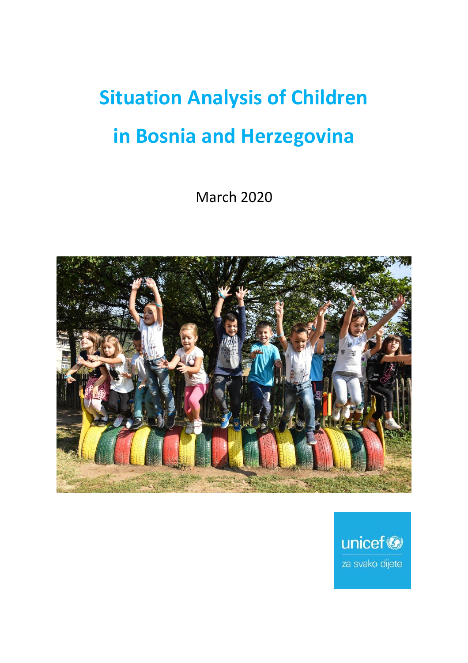# **Situation Analysis of Children in Bosnia and Herzegovina**

March 2020



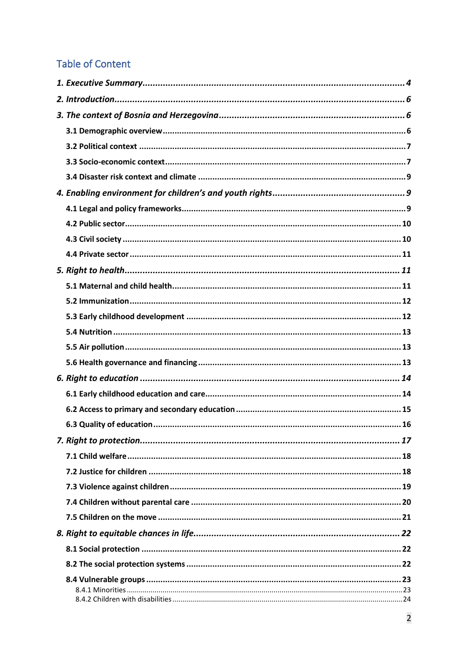# **Table of Content**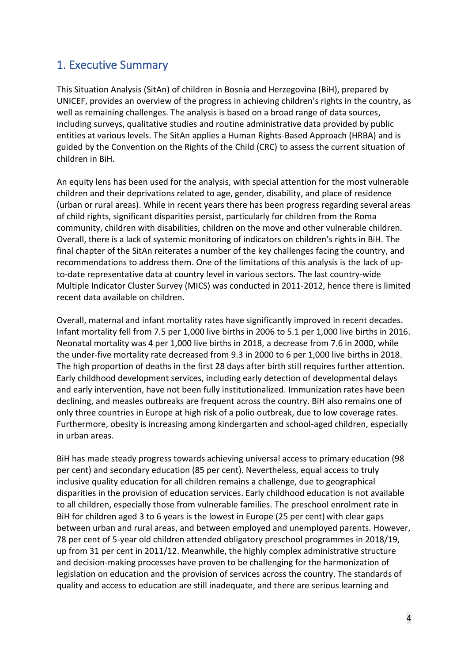# <span id="page-3-0"></span>1. Executive Summary

This Situation Analysis (SitAn) of children in Bosnia and Herzegovina (BiH), prepared by UNICEF, provides an overview of the progress in achieving children's rights in the country, as well as remaining challenges. The analysis is based on a broad range of data sources, including surveys, qualitative studies and routine administrative data provided by public entities at various levels. The SitAn applies a Human Rights-Based Approach (HRBA) and is guided by the Convention on the Rights of the Child (CRC) to assess the current situation of children in BiH.

An equity lens has been used for the analysis, with special attention for the most vulnerable children and their deprivations related to age, gender, disability, and place of residence (urban or rural areas). While in recent years there has been progress regarding several areas of child rights, significant disparities persist, particularly for children from the Roma community, children with disabilities, children on the move and other vulnerable children. Overall, there is a lack of systemic monitoring of indicators on children's rights in BiH. The final chapter of the SitAn reiterates a number of the key challenges facing the country, and recommendations to address them. One of the limitations of this analysis is the lack of upto-date representative data at country level in various sectors. The last country-wide Multiple Indicator Cluster Survey (MICS) was conducted in 2011-2012, hence there is limited recent data available on children.

Overall, maternal and infant mortality rates have significantly improved in recent decades. Infant mortality fell from 7.5 per 1,000 live births in 2006 to 5.1 per 1,000 live births in 2016. Neonatal mortality was 4 per 1,000 live births in 2018, a decrease from 7.6 in 2000, while the under-five mortality rate decreased from 9.3 in 2000 to 6 per 1,000 live births in 2018. The high proportion of deaths in the first 28 days after birth still requires further attention. Early childhood development services, including early detection of developmental delays and early intervention, have not been fully institutionalized. Immunization rates have been declining, and measles outbreaks are frequent across the country. BiH also remains one of only three countries in Europe at high risk of a polio outbreak, due to low coverage rates. Furthermore, obesity is increasing among kindergarten and school-aged children, especially in urban areas.

BiH has made steady progress towards achieving universal access to primary education (98 per cent) and secondary education (85 per cent). Nevertheless, equal access to truly inclusive quality education for all children remains a challenge, due to geographical disparities in the provision of education services. Early childhood education is not available to all children, especially those from vulnerable families. The preschool enrolment rate in BiH for children aged 3 to 6 years is the lowest in Europe (25 per cent) with clear gaps between urban and rural areas, and between employed and unemployed parents. However, 78 per cent of 5-year old children attended obligatory preschool programmes in 2018/19, up from 31 per cent in 2011/12. Meanwhile, the highly complex administrative structure and decision-making processes have proven to be challenging for the harmonization of legislation on education and the provision of services across the country. The standards of quality and access to education are still inadequate, and there are serious learning and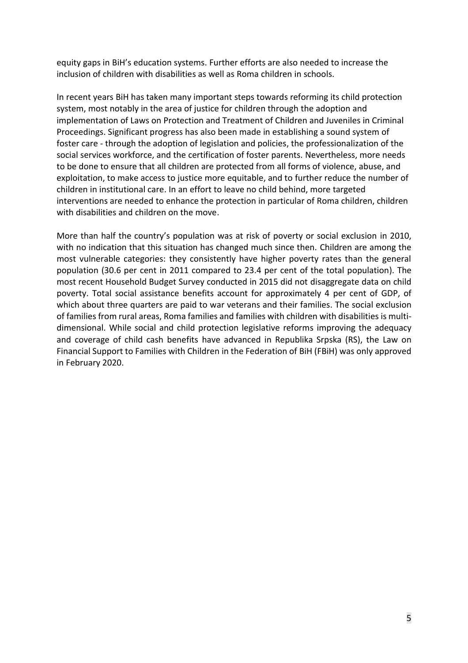equity gaps in BiH's education systems. Further efforts are also needed to increase the inclusion of children with disabilities as well as Roma children in schools.

In recent years BiH has taken many important steps towards reforming its child protection system, most notably in the area of justice for children through the adoption and implementation of Laws on Protection and Treatment of Children and Juveniles in Criminal Proceedings. Significant progress has also been made in establishing a sound system of foster care - through the adoption of legislation and policies, the professionalization of the social services workforce, and the certification of foster parents. Nevertheless, more needs to be done to ensure that all children are protected from all forms of violence, abuse, and exploitation, to make access to justice more equitable, and to further reduce the number of children in institutional care. In an effort to leave no child behind, more targeted interventions are needed to enhance the protection in particular of Roma children, children with disabilities and children on the move.

More than half the country's population was at risk of poverty or social exclusion in 2010, with no indication that this situation has changed much since then. Children are among the most vulnerable categories: they consistently have higher poverty rates than the general population (30.6 per cent in 2011 compared to 23.4 per cent of the total population). The most recent Household Budget Survey conducted in 2015 did not disaggregate data on child poverty. Total social assistance benefits account for approximately 4 per cent of GDP, of which about three quarters are paid to war veterans and their families. The social exclusion of families from rural areas, Roma families and families with children with disabilities is multidimensional. While social and child protection legislative reforms improving the adequacy and coverage of child cash benefits have advanced in Republika Srpska (RS), the Law on Financial Support to Families with Children in the Federation of BiH (FBiH) was only approved in February 2020.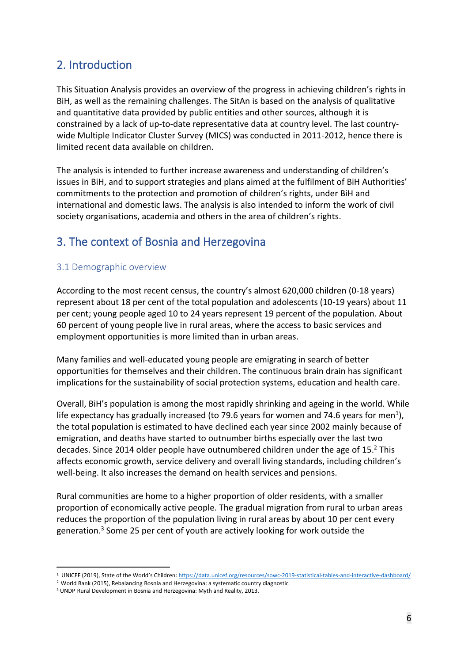# <span id="page-5-0"></span>2. Introduction

This Situation Analysis provides an overview of the progress in achieving children's rights in BiH, as well as the remaining challenges. The SitAn is based on the analysis of qualitative and quantitative data provided by public entities and other sources, although it is constrained by a lack of up-to-date representative data at country level. The last countrywide Multiple Indicator Cluster Survey (MICS) was conducted in 2011-2012, hence there is limited recent data available on children.

The analysis is intended to further increase awareness and understanding of children's issues in BiH, and to support strategies and plans aimed at the fulfilment of BiH Authorities' commitments to the protection and promotion of children's rights, under BiH and international and domestic laws. The analysis is also intended to inform the work of civil society organisations, academia and others in the area of children's rights.

# <span id="page-5-1"></span>3. The context of Bosnia and Herzegovina

#### <span id="page-5-2"></span>3.1 Demographic overview

According to the most recent census, the country's almost 620,000 children (0-18 years) represent about 18 per cent of the total population and adolescents (10-19 years) about 11 per cent; young people aged 10 to 24 years represent 19 percent of the population. About 60 percent of young people live in rural areas, where the access to basic services and employment opportunities is more limited than in urban areas.

Many families and well-educated young people are emigrating in search of better opportunities for themselves and their children. The continuous brain drain has significant implications for the sustainability of social protection systems, education and health care.

Overall, BiH's population is among the most rapidly shrinking and ageing in the world. While life expectancy has gradually increased (to 79.6 years for women and 74.6 years for men<sup>1</sup>), the total population is estimated to have declined each year since 2002 mainly because of emigration, and deaths have started to outnumber births especially over the last two decades. Since 2014 older people have outnumbered children under the age of 15.<sup>2</sup> This affects economic growth, service delivery and overall living standards, including children's well-being. It also increases the demand on health services and pensions.

Rural communities are home to a higher proportion of older residents, with a smaller proportion of economically active people. The gradual migration from rural to urban areas reduces the proportion of the population living in rural areas by about 10 per cent every generation. <sup>3</sup> Some 25 per cent of youth are actively looking for work outside the

<sup>&</sup>lt;sup>1</sup> UNICEF (2019), State of the World's Children: <https://data.unicef.org/resources/sowc-2019-statistical-tables-and-interactive-dashboard/>

<sup>2</sup> World Bank (2015), Rebalancing Bosnia and Herzegovina: a systematic country diagnostic

<sup>3</sup> UNDP Rural Development in Bosnia and Herzegovina: Myth and Reality, 2013.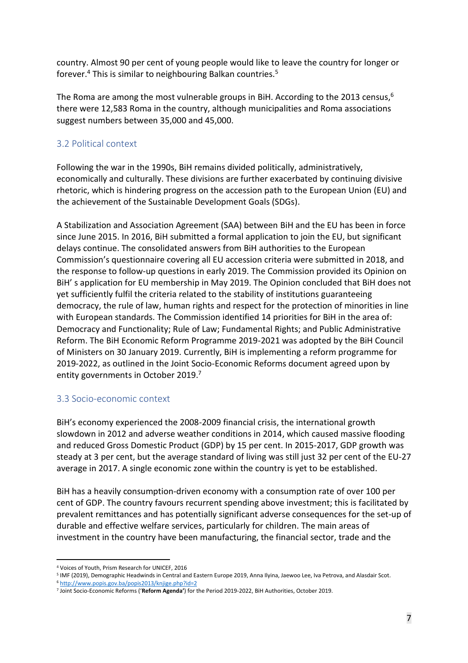country. Almost 90 per cent of young people would like to leave the country for longer or forever. $^4$  This is similar to neighbouring Balkan countries. $^5$ 

The Roma are among the most vulnerable groups in BiH. According to the 2013 census,  $6$ there were 12,583 Roma in the country, although municipalities and Roma associations suggest numbers between 35,000 and 45,000.

## <span id="page-6-0"></span>3.2 Political context

Following the war in the 1990s, BiH remains divided politically, administratively, economically and culturally. These divisions are further exacerbated by continuing divisive rhetoric, which is hindering progress on the accession path to the European Union (EU) and the achievement of the Sustainable Development Goals (SDGs).

A Stabilization and Association Agreement (SAA) between BiH and the EU has been in force since June 2015. In 2016, BiH submitted a formal application to join the EU, but significant delays continue. The consolidated answers from BiH authorities to the European Commission's questionnaire covering all EU accession criteria were submitted in 2018, and the response to follow-up questions in early 2019. The Commission provided its Opinion on BiH' s application for EU membership in May 2019. The Opinion concluded that BiH does not yet sufficiently fulfil the criteria related to the stability of institutions guaranteeing democracy, the rule of law, human rights and respect for the protection of minorities in line with European standards. The Commission identified 14 priorities for BiH in the area of: Democracy and Functionality; Rule of Law; Fundamental Rights; and Public Administrative Reform. The BiH Economic Reform Programme 2019-2021 was adopted by the BiH Council of Ministers on 30 January 2019. Currently, BiH is implementing a reform programme for 2019-2022, as outlined in the Joint Socio-Economic Reforms document agreed upon by entity governments in October 2019. 7

# <span id="page-6-1"></span>3.3 Socio-economic context

BiH's economy experienced the 2008-2009 financial crisis, the international growth slowdown in 2012 and adverse weather conditions in 2014, which caused massive flooding and reduced Gross Domestic Product (GDP) by 15 per cent. In 2015-2017, GDP growth was steady at 3 per cent, but the average standard of living was still just 32 per cent of the EU-27 average in 2017. A single economic zone within the country is yet to be established.

BiH has a heavily consumption-driven economy with a consumption rate of over 100 per cent of GDP. The country favours recurrent spending above investment; this is facilitated by prevalent remittances and has potentially significant adverse consequences for the set-up of durable and effective welfare services, particularly for children. The main areas of investment in the country have been manufacturing, the financial sector, trade and the

<sup>6</sup> <http://www.popis.gov.ba/popis2013/knjige.php?id=2>

<sup>4</sup> Voices of Youth, Prism Research for UNICEF, 2016

<sup>5</sup> IMF (2019), Demographic Headwinds in Central and Eastern Europe 2019, Anna Ilyina, Jaewoo Lee, Iva Petrova, and Alasdair Scot.

<sup>7</sup> Joint Socio-Economic Reforms ('**Reform Agenda'**) for the Period 2019-2022, BiH Authorities, October 2019.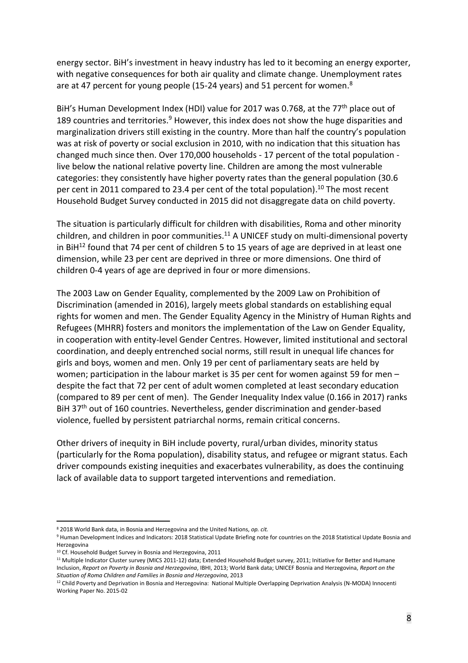energy sector. BiH's investment in heavy industry has led to it becoming an energy exporter, with negative consequences for both air quality and climate change. Unemployment rates are at 47 percent for young people (15-24 years) and 51 percent for women.<sup>8</sup>

BiH's Human Development Index (HDI) value for 2017 was 0.768, at the 77<sup>th</sup> place out of 189 countries and territories. $9$  However, this index does not show the huge disparities and marginalization drivers still existing in the country. More than half the country's population was at risk of poverty or social exclusion in 2010, with no indication that this situation has changed much since then. Over 170,000 households - 17 percent of the total population live below the national relative poverty line. Children are among the most vulnerable categories: they consistently have higher poverty rates than the general population (30.6 per cent in 2011 compared to 23.4 per cent of the total population). <sup>10</sup> The most recent Household Budget Survey conducted in 2015 did not disaggregate data on child poverty.

The situation is particularly difficult for children with disabilities, Roma and other minority children, and children in poor communities.<sup>11</sup> A UNICEF study on multi-dimensional poverty in BiH $^{12}$  found that 74 per cent of children 5 to 15 years of age are deprived in at least one dimension, while 23 per cent are deprived in three or more dimensions. One third of children 0-4 years of age are deprived in four or more dimensions.

The 2003 Law on Gender Equality, complemented by the 2009 Law on Prohibition of Discrimination (amended in 2016), largely meets global standards on establishing equal rights for women and men. The Gender Equality Agency in the Ministry of Human Rights and Refugees (MHRR) fosters and monitors the implementation of the Law on Gender Equality, in cooperation with entity-level Gender Centres. However, limited institutional and sectoral coordination, and deeply entrenched social norms, still result in unequal life chances for girls and boys, women and men. Only 19 per cent of parliamentary seats are held by women; participation in the labour market is 35 per cent for women against 59 for men – despite the fact that 72 per cent of adult women completed at least secondary education (compared to 89 per cent of men). The Gender Inequality Index value (0.166 in 2017) ranks BiH 37<sup>th</sup> out of 160 countries. Nevertheless, gender discrimination and gender-based violence, fuelled by persistent patriarchal norms, remain critical concerns.

Other drivers of inequity in BiH include poverty, rural/urban divides, minority status (particularly for the Roma population), disability status, and refugee or migrant status. Each driver compounds existing inequities and exacerbates vulnerability, as does the continuing lack of available data to support targeted interventions and remediation.

<sup>8</sup> 2018 World Bank data, in Bosnia and Herzegovina and the United Nations, *op. cit.*

<sup>9</sup> Human Development Indices and Indicators: 2018 Statistical Update Briefing note for countries on the 2018 Statistical Update Bosnia and Herzegovina

<sup>&</sup>lt;sup>10</sup> Cf. Household Budget Survey in Bosnia and Herzegovina, 2011

<sup>&</sup>lt;sup>11</sup> Multiple Indicator Cluster survey (MICS 2011-12) data; Extended Household Budget survey, 2011; Initiative for Better and Humane Inclusion, *Report on Poverty in Bosnia and Herzegovina*, IBHI, 2013; World Bank data; UNICEF Bosnia and Herzegovina, *Report on the Situation of Roma Children and Families in Bosnia and Herzegovina*, 2013

<sup>&</sup>lt;sup>12</sup> Child Poverty and Deprivation in Bosnia and Herzegovina: National Multiple Overlapping Deprivation Analysis (N-MODA) Innocenti Working Paper No. 2015-02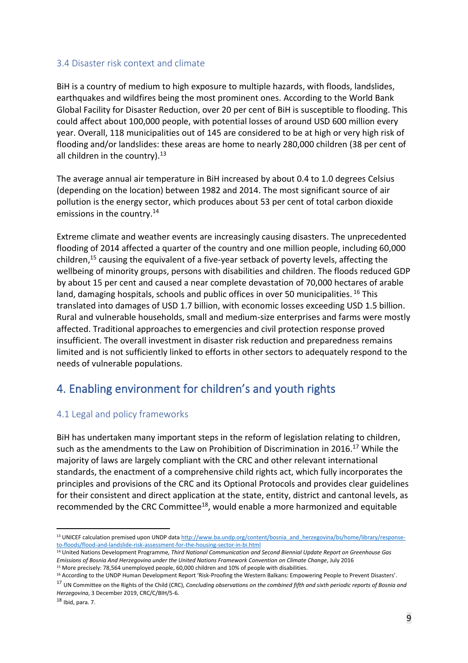#### <span id="page-8-0"></span>3.4 Disaster risk context and climate

BiH is a country of medium to high exposure to multiple hazards, with floods, landslides, earthquakes and wildfires being the most prominent ones. According to the World Bank Global Facility for Disaster Reduction, over 20 per cent of BiH is susceptible to flooding. This could affect about 100,000 people, with potential losses of around USD 600 million every year. Overall, 118 municipalities out of 145 are considered to be at high or very high risk of flooding and/or landslides: these areas are home to nearly 280,000 children (38 per cent of all children in the country). $13$ 

The average annual air temperature in BiH increased by about 0.4 to 1.0 degrees Celsius (depending on the location) between 1982 and 2014. The most significant source of air pollution is the energy sector, which produces about 53 per cent of total carbon dioxide emissions in the country. 14

Extreme climate and weather events are increasingly causing disasters. The unprecedented flooding of 2014 affected a quarter of the country and one million people, including 60,000 children, <sup>15</sup> causing the equivalent of a five-year setback of poverty levels, affecting the wellbeing of minority groups, persons with disabilities and children. The floods reduced GDP by about 15 per cent and caused a near complete devastation of 70,000 hectares of arable land, damaging hospitals, schools and public offices in over 50 municipalities. <sup>16</sup> This translated into damages of USD 1.7 billion, with economic losses exceeding USD 1.5 billion. Rural and vulnerable households, small and medium-size enterprises and farms were mostly affected. Traditional approaches to emergencies and civil protection response proved insufficient. The overall investment in disaster risk reduction and preparedness remains limited and is not sufficiently linked to efforts in other sectors to adequately respond to the needs of vulnerable populations.

# <span id="page-8-1"></span>4. Enabling environment for children's and youth rights

## <span id="page-8-2"></span>4.1 Legal and policy frameworks

BiH has undertaken many important steps in the reform of legislation relating to children, such as the amendments to the Law on Prohibition of Discrimination in 2016.<sup>17</sup> While the majority of laws are largely compliant with the CRC and other relevant international standards, the enactment of a comprehensive child rights act, which fully incorporates the principles and provisions of the CRC and its Optional Protocols and provides clear guidelines for their consistent and direct application at the state, entity, district and cantonal levels, as recommended by the CRC Committee<sup>18</sup>, would enable a more harmonized and equitable

 $18$  Ibid, para. 7.

<sup>&</sup>lt;sup>13</sup> UNICEF calculation premised upon UNDP dat[a http://www.ba.undp.org/content/bosnia\\_and\\_herzegovina/bs/home/library/response](http://www.ba.undp.org/content/bosnia_and_herzegovina/bs/home/library/response-to-floods/flood-and-landslide-risk-assessment-for-the-housing-sector-in-bi.html)[to-floods/flood-and-landslide-risk-assessment-for-the-housing-sector-in-bi.html](http://www.ba.undp.org/content/bosnia_and_herzegovina/bs/home/library/response-to-floods/flood-and-landslide-risk-assessment-for-the-housing-sector-in-bi.html)

<sup>14</sup> United Nations Development Programme, *Third National Communication and Second Biennial Update Report on Greenhouse Gas Emissions of Bosnia And Herzegovina under the United Nations Framework Convention on Climate Change*, July 2016 <sup>15</sup> More precisely: 78,564 unemployed people, 60,000 children and 10% of people with disabilities.

<sup>16</sup> According to the UNDP Human Development Report 'Risk-Proofing the Western Balkans: Empowering People to Prevent Disasters'.

<sup>17</sup> UN Committee on the Rights of the Child (CRC), *Concluding observations on the combined fifth and sixth periodic reports of Bosnia and Herzegovina*, 3 December 2019, CRC/C/BIH/5-6.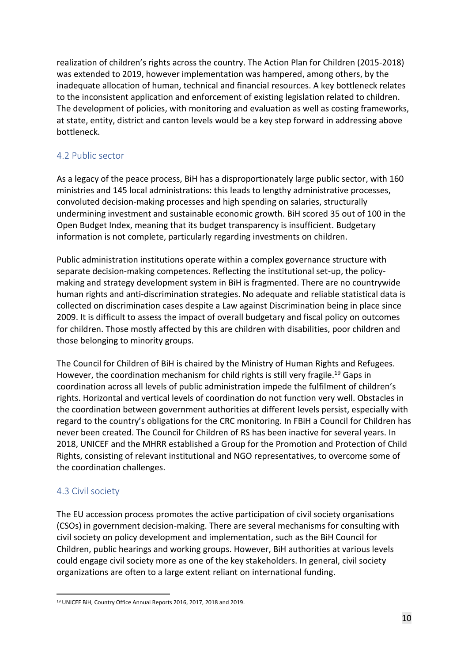realization of children's rights across the country. The Action Plan for Children (2015-2018) was extended to 2019, however implementation was hampered, among others, by the inadequate allocation of human, technical and financial resources. A key bottleneck relates to the inconsistent application and enforcement of existing legislation related to children. The development of policies, with monitoring and evaluation as well as costing frameworks, at state, entity, district and canton levels would be a key step forward in addressing above bottleneck.

#### <span id="page-9-0"></span>4.2 Public sector

As a legacy of the peace process, BiH has a disproportionately large public sector, with 160 ministries and 145 local administrations: this leads to lengthy administrative processes, convoluted decision-making processes and high spending on salaries, structurally undermining investment and sustainable economic growth. BiH scored 35 out of 100 in the Open Budget Index, meaning that its budget transparency is insufficient. Budgetary information is not complete, particularly regarding investments on children.

Public administration institutions operate within a complex governance structure with separate decision-making competences. Reflecting the institutional set-up, the policymaking and strategy development system in BiH is fragmented. There are no countrywide human rights and anti-discrimination strategies. No adequate and reliable statistical data is collected on discrimination cases despite a Law against Discrimination being in place since 2009. It is difficult to assess the impact of overall budgetary and fiscal policy on outcomes for children. Those mostly affected by this are children with disabilities, poor children and those belonging to minority groups.

The Council for Children of BiH is chaired by the Ministry of Human Rights and Refugees. However, the coordination mechanism for child rights is still very fragile.<sup>19</sup> Gaps in coordination across all levels of public administration impede the fulfilment of children's rights. Horizontal and vertical levels of coordination do not function very well. Obstacles in the coordination between government authorities at different levels persist, especially with regard to the country's obligations for the CRC monitoring. In FBiH a Council for Children has never been created. The Council for Children of RS has been inactive for several years. In 2018, UNICEF and the MHRR established a Group for the Promotion and Protection of Child Rights, consisting of relevant institutional and NGO representatives, to overcome some of the coordination challenges.

## <span id="page-9-1"></span>4.3 Civil society

The EU accession process promotes the active participation of civil society organisations (CSOs) in government decision-making. There are several mechanisms for consulting with civil society on policy development and implementation, such as the BiH Council for Children, public hearings and working groups. However, BiH authorities at various levels could engage civil society more as one of the key stakeholders. In general, civil society organizations are often to a large extent reliant on international funding.

<sup>19</sup> UNICEF BiH, Country Office Annual Reports 2016, 2017, 2018 and 2019.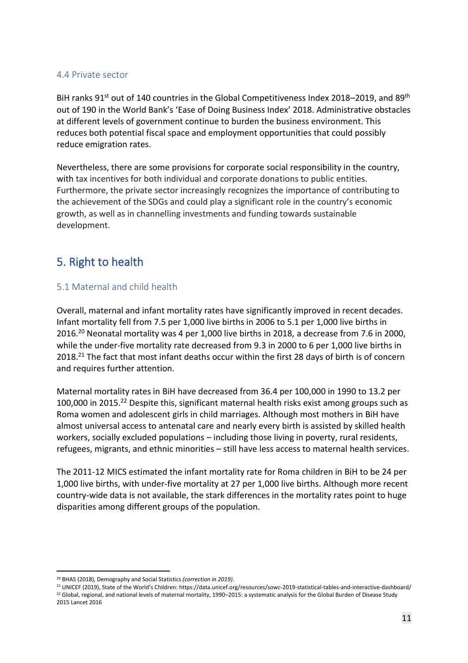#### <span id="page-10-0"></span>4.4 Private sector

BiH ranks 91<sup>st</sup> out of 140 countries in the Global Competitiveness Index 2018–2019, and 89<sup>th</sup> out of 190 in the World Bank's 'Ease of Doing Business Index' 2018. Administrative obstacles at different levels of government continue to burden the business environment. This reduces both potential fiscal space and employment opportunities that could possibly reduce emigration rates.

Nevertheless, there are some provisions for corporate social responsibility in the country, with tax incentives for both individual and corporate donations to public entities. Furthermore, the private sector increasingly recognizes the importance of contributing to the achievement of the SDGs and could play a significant role in the country's economic growth, as well as in channelling investments and funding towards sustainable development.

# <span id="page-10-1"></span>5. Right to health

## <span id="page-10-2"></span>5.1 Maternal and child health

Overall, maternal and infant mortality rates have significantly improved in recent decades. Infant mortality fell from 7.5 per 1,000 live births in 2006 to 5.1 per 1,000 live births in 2016. <sup>20</sup> Neonatal mortality was 4 per 1,000 live births in 2018, a decrease from 7.6 in 2000, while the under-five mortality rate decreased from 9.3 in 2000 to 6 per 1,000 live births in 2018.<sup>21</sup> The fact that most infant deaths occur within the first 28 days of birth is of concern and requires further attention.

Maternal mortality rates in BiH have decreased from 36.4 per 100,000 in 1990 to 13.2 per 100,000 in 2015.<sup>22</sup> Despite this, significant maternal health risks exist among groups such as Roma women and adolescent girls in child marriages. Although most mothers in BiH have almost universal access to antenatal care and nearly every birth is assisted by skilled health workers, socially excluded populations – including those living in poverty, rural residents, refugees, migrants, and ethnic minorities – still have less access to maternal health services.

The 2011-12 MICS estimated the infant mortality rate for Roma children in BiH to be 24 per 1,000 live births, with under-five mortality at 27 per 1,000 live births. Although more recent country-wide data is not available, the stark differences in the mortality rates point to huge disparities among different groups of the population.

<sup>20</sup> BHAS (2018), Demography and Social Statistics *(correction in 2019)*.

<sup>21</sup> UNICEF (2019), State of the World's Children: https://data.unicef.org/resources/sowc-2019-statistical-tables-and-interactive-dashboard/ <sup>22</sup> Global, regional, and national levels of maternal mortality, 1990–2015: a systematic analysis for the Global Burden of Disease Study 2015 Lancet 2016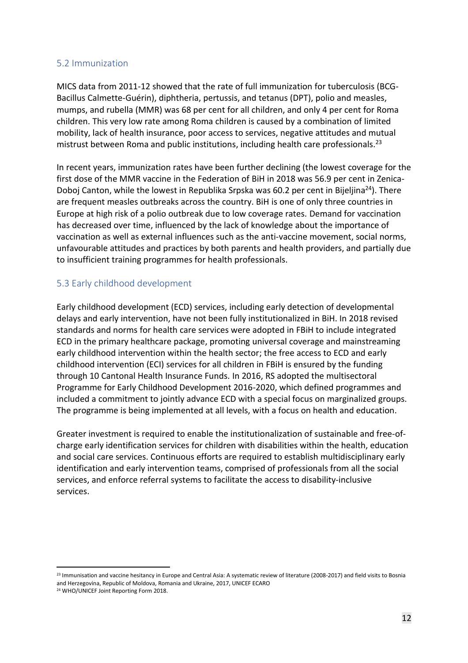#### <span id="page-11-0"></span>5.2 Immunization

MICS data from 2011-12 showed that the rate of full immunization for tuberculosis (BCG-Bacillus Calmette-Guérin), diphtheria, pertussis, and tetanus (DPT), polio and measles, mumps, and rubella (MMR) was 68 per cent for all children, and only 4 per cent for Roma children. This very low rate among Roma children is caused by a combination of limited mobility, lack of health insurance, poor access to services, negative attitudes and mutual mistrust between Roma and public institutions, including health care professionals.<sup>23</sup>

In recent years, immunization rates have been further declining (the lowest coverage for the first dose of the MMR vaccine in the Federation of BiH in 2018 was 56.9 per cent in Zenica-Doboj Canton, while the lowest in Republika Srpska was 60.2 per cent in Bijeljina<sup>24</sup>). There are frequent measles outbreaks across the country. BiH is one of only three countries in Europe at high risk of a polio outbreak due to low coverage rates. Demand for vaccination has decreased over time, influenced by the lack of knowledge about the importance of vaccination as well as external influences such as the anti-vaccine movement, social norms, unfavourable attitudes and practices by both parents and health providers, and partially due to insufficient training programmes for health professionals.

#### <span id="page-11-1"></span>5.3 Early childhood development

Early childhood development (ECD) services, including early detection of developmental delays and early intervention, have not been fully institutionalized in BiH. In 2018 revised standards and norms for health care services were adopted in FBiH to include integrated ECD in the primary healthcare package, promoting universal coverage and mainstreaming early childhood intervention within the health sector; the free access to ECD and early childhood intervention (ECI) services for all children in FBiH is ensured by the funding through 10 Cantonal Health Insurance Funds. In 2016, RS adopted the multisectoral Programme for Early Childhood Development 2016-2020, which defined programmes and included a commitment to jointly advance ECD with a special focus on marginalized groups. The programme is being implemented at all levels, with a focus on health and education.

Greater investment is required to enable the institutionalization of sustainable and free-ofcharge early identification services for children with disabilities within the health, education and social care services. Continuous efforts are required to establish multidisciplinary early identification and early intervention teams, comprised of professionals from all the social services, and enforce referral systems to facilitate the access to disability-inclusive services.

<sup>&</sup>lt;sup>23</sup> Immunisation and vaccine hesitancy in Europe and Central Asia: A systematic review of literature (2008-2017) and field visits to Bosnia and Herzegovina, Republic of Moldova, Romania and Ukraine, 2017, UNICEF ECARO

<sup>24</sup> WHO/UNICEF Joint Reporting Form 2018.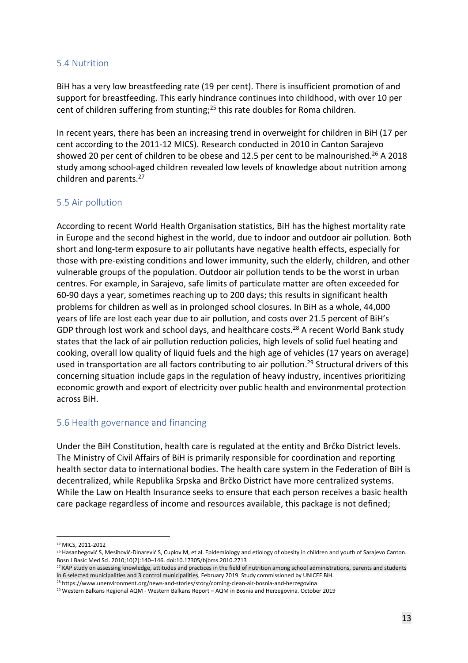#### <span id="page-12-0"></span>5.4 Nutrition

BiH has a very low breastfeeding rate (19 per cent). There is insufficient promotion of and support for breastfeeding. This early hindrance continues into childhood, with over 10 per cent of children suffering from stunting; <sup>25</sup> this rate doubles for Roma children.

In recent years, there has been an increasing trend in overweight for children in BiH (17 per cent according to the 2011-12 MICS). Research conducted in 2010 in Canton Sarajevo showed 20 per cent of children to be obese and 12.5 per cent to be malnourished.<sup>26</sup> A 2018 study among school-aged children revealed low levels of knowledge about nutrition among children and parents.<sup>27</sup>

#### <span id="page-12-1"></span>5.5 Air pollution

According to recent World Health Organisation statistics, BiH has the highest mortality rate in Europe and the second highest in the world, due to indoor and outdoor air pollution. Both short and long-term exposure to air pollutants have negative health effects, especially for those with pre-existing conditions and lower immunity, such the elderly, children, and other vulnerable groups of the population. Outdoor air pollution tends to be the worst in urban centres. For example, in Sarajevo, safe limits of particulate matter are often exceeded for 60-90 days a year, sometimes reaching up to 200 days; this results in significant health problems for children as well as in prolonged school closures. In BiH as a whole, 44,000 years of life are lost each year due to air pollution, and costs over 21.5 percent of BiH's GDP through lost work and school days, and healthcare costs.<sup>28</sup> A recent World Bank study states that the lack of air pollution reduction policies, high levels of solid fuel heating and cooking, overall low quality of liquid fuels and the high age of vehicles (17 years on average) used in transportation are all factors contributing to air pollution. <sup>29</sup> Structural drivers of this concerning situation include gaps in the regulation of heavy industry, incentives prioritizing economic growth and export of electricity over public health and environmental protection across BiH.

#### <span id="page-12-2"></span>5.6 Health governance and financing

Under the BiH Constitution, health care is regulated at the entity and Brčko District levels. The Ministry of Civil Affairs of BiH is primarily responsible for coordination and reporting health sector data to international bodies. The health care system in the Federation of BiH is decentralized, while Republika Srpska and Brčko District have more centralized systems. While the Law on Health Insurance seeks to ensure that each person receives a basic health care package regardless of income and resources available, this package is not defined;

<sup>25</sup> MICS, 2011-2012

<sup>&</sup>lt;sup>26</sup> Hasanbegović S, Mesihović-Dinarević S, Cuplov M, et al. Epidemiology and etiology of obesity in children and youth of Sarajevo Canton. Bosn J Basic Med Sci. 2010;10(2):140–146. doi:10.17305/bjbms.2010.2713

<sup>&</sup>lt;sup>27</sup> KAP study on assessing knowledge, attitudes and practices in the field of nutrition among school administrations, parents and students in 6 selected municipalities and 3 control municipalities, February 2019. Study commissioned by UNICEF BiH.

<sup>&</sup>lt;sup>28</sup> https://www.unenvironment.org/news-and-stories/story/coming-clean-air-bosnia-and-herzegovina

<sup>29</sup> Western Balkans Regional AQM - Western Balkans Report – AQM in Bosnia and Herzegovina. October 2019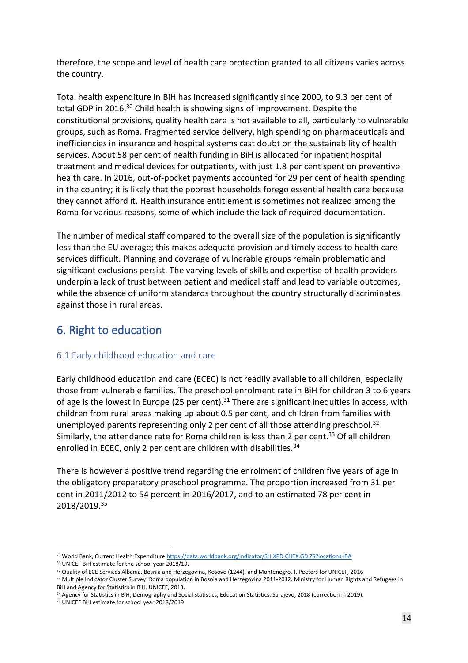therefore, the scope and level of health care protection granted to all citizens varies across the country.

Total health expenditure in BiH has increased significantly since 2000, to 9.3 per cent of total GDP in 2016. <sup>30</sup> Child health is showing signs of improvement. Despite the constitutional provisions, quality health care is not available to all, particularly to vulnerable groups, such as Roma. Fragmented service delivery, high spending on pharmaceuticals and inefficiencies in insurance and hospital systems cast doubt on the sustainability of health services. About 58 per cent of health funding in BiH is allocated for inpatient hospital treatment and medical devices for outpatients, with just 1.8 per cent spent on preventive health care. In 2016, out-of-pocket payments accounted for 29 per cent of health spending in the country; it is likely that the poorest households forego essential health care because they cannot afford it. Health insurance entitlement is sometimes not realized among the Roma for various reasons, some of which include the lack of required documentation.

The number of medical staff compared to the overall size of the population is significantly less than the EU average; this makes adequate provision and timely access to health care services difficult. Planning and coverage of vulnerable groups remain problematic and significant exclusions persist. The varying levels of skills and expertise of health providers underpin a lack of trust between patient and medical staff and lead to variable outcomes, while the absence of uniform standards throughout the country structurally discriminates against those in rural areas.

# <span id="page-13-0"></span>6. Right to education

## <span id="page-13-1"></span>6.1 Early childhood education and care

Early childhood education and care (ECEC) is not readily available to all children, especially those from vulnerable families. The preschool enrolment rate in BiH for children 3 to 6 years of age is the lowest in Europe (25 per cent).<sup>31</sup> There are significant inequities in access, with children from rural areas making up about 0.5 per cent, and children from families with unemployed parents representing only 2 per cent of all those attending preschool.<sup>32</sup> Similarly, the attendance rate for Roma children is less than 2 per cent.<sup>33</sup> Of all children enrolled in ECEC, only 2 per cent are children with disabilities.<sup>34</sup>

There is however a positive trend regarding the enrolment of children five years of age in the obligatory preparatory preschool programme. The proportion increased from 31 per cent in 2011/2012 to 54 percent in 2016/2017, and to an estimated 78 per cent in 2018/2019.<sup>35</sup>

<sup>30</sup> World Bank, Current Health Expenditur[e https://data.worldbank.org/indicator/SH.XPD.CHEX.GD.ZS?locations=BA](https://data.worldbank.org/indicator/SH.XPD.CHEX.GD.ZS?locations=BA)

<sup>&</sup>lt;sup>31</sup> UNICEF BiH estimate for the school year 2018/19.

<sup>&</sup>lt;sup>32</sup> Quality of ECE Services Albania, Bosnia and Herzegovina, Kosovo (1244), and Montenegro, J. Peeters for UNICEF, 2016

<sup>33</sup> Multiple Indicator Cluster Survey: Roma population in Bosnia and Herzegovina 2011-2012. Ministry for Human Rights and Refugees in BiH and Agency for Statistics in BiH. UNICEF, 2013.

<sup>&</sup>lt;sup>34</sup> Agency for Statistics in BiH; Demography and Social statistics, Education Statistics. Sarajevo, 2018 (correction in 2019).

<sup>&</sup>lt;sup>35</sup> UNICEF BiH estimate for school year 2018/2019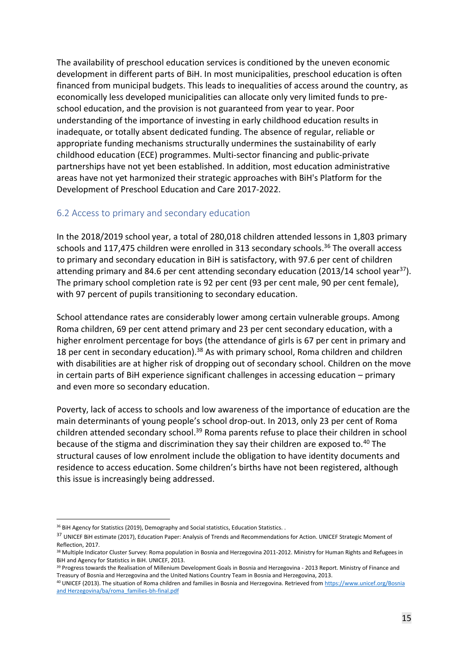The availability of preschool education services is conditioned by the uneven economic development in different parts of BiH. In most municipalities, preschool education is often financed from municipal budgets. This leads to inequalities of access around the country, as economically less developed municipalities can allocate only very limited funds to preschool education, and the provision is not guaranteed from year to year. Poor understanding of the importance of investing in early childhood education results in inadequate, or totally absent dedicated funding. The absence of regular, reliable or appropriate funding mechanisms structurally undermines the sustainability of early childhood education (ECE) programmes. Multi-sector financing and public-private partnerships have not yet been established. In addition, most education administrative areas have not yet harmonized their strategic approaches with BiH's Platform for the Development of Preschool Education and Care 2017-2022.

#### <span id="page-14-0"></span>6.2 Access to primary and secondary education

In the 2018/2019 school year, a total of 280,018 children attended lessons in 1,803 primary schools and 117,475 children were enrolled in 313 secondary schools. <sup>36</sup> The overall access to primary and secondary education in BiH is satisfactory, with 97.6 per cent of children attending primary and 84.6 per cent attending secondary education (2013/14 school year<sup>37</sup>). The primary school completion rate is 92 per cent (93 per cent male, 90 per cent female), with 97 percent of pupils transitioning to secondary education.

School attendance rates are considerably lower among certain vulnerable groups. Among Roma children, 69 per cent attend primary and 23 per cent secondary education, with a higher enrolment percentage for boys (the attendance of girls is 67 per cent in primary and 18 per cent in secondary education).<sup>38</sup> As with primary school, Roma children and children with disabilities are at higher risk of dropping out of secondary school. Children on the move in certain parts of BiH experience significant challenges in accessing education – primary and even more so secondary education.

Poverty, lack of access to schools and low awareness of the importance of education are the main determinants of young people's school drop-out. In 2013, only 23 per cent of Roma children attended secondary school.<sup>39</sup> Roma parents refuse to place their children in school because of the stigma and discrimination they say their children are exposed to.<sup>40</sup> The structural causes of low enrolment include the obligation to have identity documents and residence to access education. Some children's births have not been registered, although this issue is increasingly being addressed.

<sup>&</sup>lt;sup>36</sup> BiH Agency for Statistics (2019), Demography and Social statistics, Education Statistics. .

<sup>&</sup>lt;sup>37</sup> UNICEF BiH estimate (2017), Education Paper: Analysis of Trends and Recommendations for Action. UNICEF Strategic Moment of Reflection, 2017.

<sup>&</sup>lt;sup>38</sup> Multiple Indicator Cluster Survey: Roma population in Bosnia and Herzegovina 2011-2012. Ministry for Human Rights and Refugees in BiH and Agency for Statistics in BiH. UNICEF, 2013.

<sup>39</sup> Progress towards the Realisation of Millenium Development Goals in Bosnia and Herzegovina - 2013 Report. Ministry of Finance and Treasury of Bosnia and Herzegovina and the United Nations Country Team in Bosnia and Herzegovina, 2013.

<sup>&</sup>lt;sup>40</sup> UNICEF (2013). The situation of Roma children and families in Bosnia and Herzegovina. Retrieved from https://www.unicef.org/Bosnia [and Herzegovina/ba/roma\\_families-bh-final.pdf](https://www.unicef.org/Bosnia%20and%20Herzegovina/ba/roma_families-bh-final.pdf)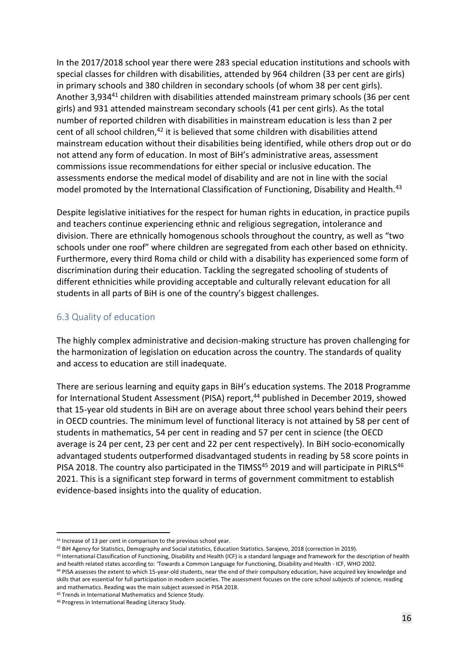In the 2017/2018 school year there were 283 special education institutions and schools with special classes for children with disabilities, attended by 964 children (33 per cent are girls) in primary schools and 380 children in secondary schools (of whom 38 per cent girls). Another 3,934<sup>41</sup> children with disabilities attended mainstream primary schools (36 per cent girls) and 931 attended mainstream secondary schools (41 per cent girls). As the total number of reported children with disabilities in mainstream education is less than 2 per cent of all school children,<sup>42</sup> it is believed that some children with disabilities attend mainstream education without their disabilities being identified, while others drop out or do not attend any form of education. In most of BiH's administrative areas, assessment commissions issue recommendations for either special or inclusive education. The assessments endorse the medical model of disability and are not in line with the social model promoted by the International Classification of Functioning, Disability and Health.<sup>43</sup>

Despite legislative initiatives for the respect for human rights in education, in practice pupils and teachers continue experiencing ethnic and religious segregation, intolerance and division. There are ethnically homogenous schools throughout the country, as well as "two schools under one roof" where children are segregated from each other based on ethnicity. Furthermore, every third Roma child or child with a disability has experienced some form of discrimination during their education. Tackling the segregated schooling of students of different ethnicities while providing acceptable and culturally relevant education for all students in all parts of BiH is one of the country's biggest challenges.

#### <span id="page-15-0"></span>6.3 Quality of education

The highly complex administrative and decision-making structure has proven challenging for the harmonization of legislation on education across the country. The standards of quality and access to education are still inadequate.

There are serious learning and equity gaps in BiH's education systems. The 2018 Programme for International Student Assessment (PISA) report, <sup>44</sup> published in December 2019, showed that 15-year old students in BiH are on average about three school years behind their peers in OECD countries. The minimum level of functional literacy is not attained by 58 per cent of students in mathematics, 54 per cent in reading and 57 per cent in science (the OECD average is 24 per cent, 23 per cent and 22 per cent respectively). In BiH socio-economically advantaged students outperformed disadvantaged students in reading by 58 score points in PISA 2018. The country also participated in the TIMSS<sup>45</sup> 2019 and will participate in PIRLS<sup>46</sup> 2021. This is a significant step forward in terms of government commitment to establish evidence-based insights into the quality of education.

<sup>&</sup>lt;sup>41</sup> Increase of 13 per cent in comparison to the previous school year.

<sup>42</sup> BiH Agency for Statistics, Demography and Social statistics, Education Statistics. Sarajevo, 2018 (correction in 2019).

<sup>43</sup> International Classification of Functioning, Disability and Health (ICF) is a standard language and framework for the description of health and health related states according to: 'Towards a Common Language for Functioning, Disability and Health - ICF, WHO 2002.

<sup>44</sup> PISA assesses the extent to which 15-year-old students, near the end of their compulsory education, have acquired key knowledge and skills that are essential for full participation in modern societies. The assessment focuses on the core school subjects of science, reading and mathematics. Reading was the main subject assessed in PISA 2018.

<sup>45</sup> Trends in International Mathematics and Science Study.

<sup>46</sup> Progress in International Reading Literacy Study.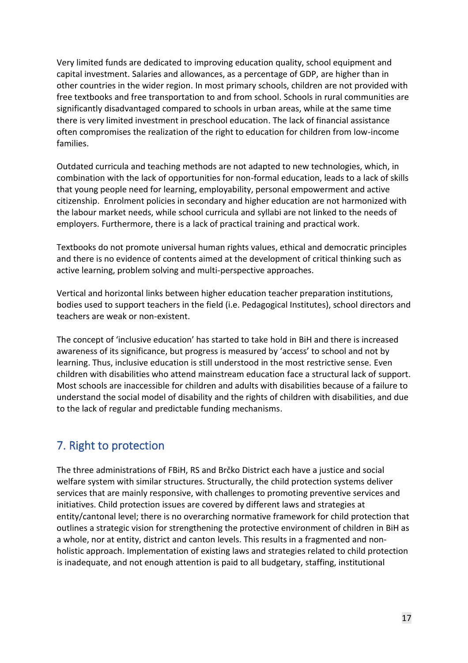Very limited funds are dedicated to improving education quality, school equipment and capital investment. Salaries and allowances, as a percentage of GDP, are higher than in other countries in the wider region. In most primary schools, children are not provided with free textbooks and free transportation to and from school. Schools in rural communities are significantly disadvantaged compared to schools in urban areas, while at the same time there is very limited investment in preschool education. The lack of financial assistance often compromises the realization of the right to education for children from low-income families.

Outdated curricula and teaching methods are not adapted to new technologies, which, in combination with the lack of opportunities for non-formal education, leads to a lack of skills that young people need for learning, employability, personal empowerment and active citizenship. Enrolment policies in secondary and higher education are not harmonized with the labour market needs, while school curricula and syllabi are not linked to the needs of employers. Furthermore, there is a lack of practical training and practical work.

Textbooks do not promote universal human rights values, ethical and democratic principles and there is no evidence of contents aimed at the development of critical thinking such as active learning, problem solving and multi-perspective approaches.

Vertical and horizontal links between higher education teacher preparation institutions, bodies used to support teachers in the field (i.e. Pedagogical Institutes), school directors and teachers are weak or non-existent.

The concept of 'inclusive education' has started to take hold in BiH and there is increased awareness of its significance, but progress is measured by 'access' to school and not by learning. Thus, inclusive education is still understood in the most restrictive sense. Even children with disabilities who attend mainstream education face a structural lack of support. Most schools are inaccessible for children and adults with disabilities because of a failure to understand the social model of disability and the rights of children with disabilities, and due to the lack of regular and predictable funding mechanisms.

# <span id="page-16-0"></span>7. Right to protection

The three administrations of FBiH, RS and Brčko District each have a justice and social welfare system with similar structures. Structurally, the child protection systems deliver services that are mainly responsive, with challenges to promoting preventive services and initiatives. Child protection issues are covered by different laws and strategies at entity/cantonal level; there is no overarching normative framework for child protection that outlines a strategic vision for strengthening the protective environment of children in BiH as a whole, nor at entity, district and canton levels. This results in a fragmented and nonholistic approach. Implementation of existing laws and strategies related to child protection is inadequate, and not enough attention is paid to all budgetary, staffing, institutional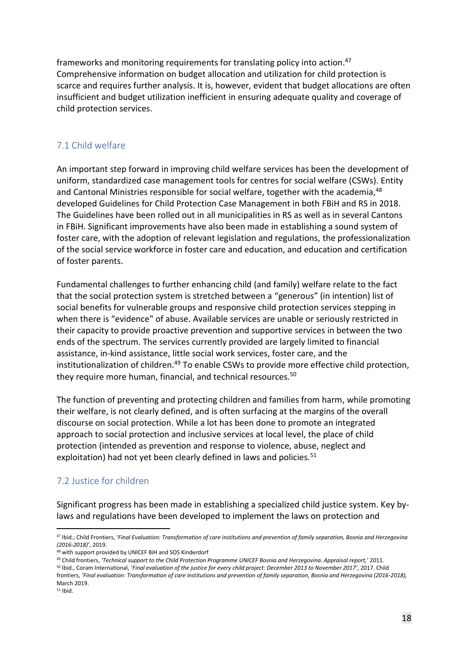frameworks and monitoring requirements for translating policy into action.<sup>47</sup> Comprehensive information on budget allocation and utilization for child protection is scarce and requires further analysis. It is, however, evident that budget allocations are often insufficient and budget utilization inefficient in ensuring adequate quality and coverage of child protection services.

## <span id="page-17-0"></span>7.1 Child welfare

An important step forward in improving child welfare services has been the development of uniform, standardized case management tools for centres for social welfare (CSWs). Entity and Cantonal Ministries responsible for social welfare, together with the academia, 48 developed Guidelines for Child Protection Case Management in both FBiH and RS in 2018. The Guidelines have been rolled out in all municipalities in RS as well as in several Cantons in FBiH. Significant improvements have also been made in establishing a sound system of foster care, with the adoption of relevant legislation and regulations, the professionalization of the social service workforce in foster care and education, and education and certification of foster parents.

Fundamental challenges to further enhancing child (and family) welfare relate to the fact that the social protection system is stretched between a "generous" (in intention) list of social benefits for vulnerable groups and responsive child protection services stepping in when there is "evidence" of abuse. Available services are unable or seriously restricted in their capacity to provide proactive prevention and supportive services in between the two ends of the spectrum. The services currently provided are largely limited to financial assistance, in-kind assistance, little social work services, foster care, and the institutionalization of children.<sup>49</sup> To enable CSWs to provide more effective child protection, they require more human, financial, and technical resources.<sup>50</sup>

The function of preventing and protecting children and families from harm, while promoting their welfare, is not clearly defined, and is often surfacing at the margins of the overall discourse on social protection. While a lot has been done to promote an integrated approach to social protection and inclusive services at local level, the place of child protection (intended as prevention and response to violence, abuse, neglect and exploitation) had not yet been clearly defined in laws and policies.<sup>51</sup>

# <span id="page-17-1"></span>7.2 Justice for children

Significant progress has been made in establishing a specialized child justice system. Key bylaws and regulations have been developed to implement the laws on protection and

<sup>51</sup> Ibid.

<sup>47</sup> Ibid.; Child Frontiers, '*Final Evaluation: Transformation of care institutions and prevention of family separation, Bosnia and Herzegovina (2016-2018)*', 2019.

<sup>48</sup> with support provided by UNICEF BiH and SOS Kinderdorf

<sup>49</sup> Child frontiers, *'Technical support to the Child Protection Programme UNICEF Bosnia and Herzegovina. Appraisal report,'* 2011.

<sup>50</sup> Ibid., Coram International, '*Final evaluation of the justice for every child project: December 2013 to November 2017'*, 2017. Child frontiers, *'Final evaluation: Transformation of care institutions and prevention of family separation, Bosnia and Herzegovina (2016-2018),* March 2019.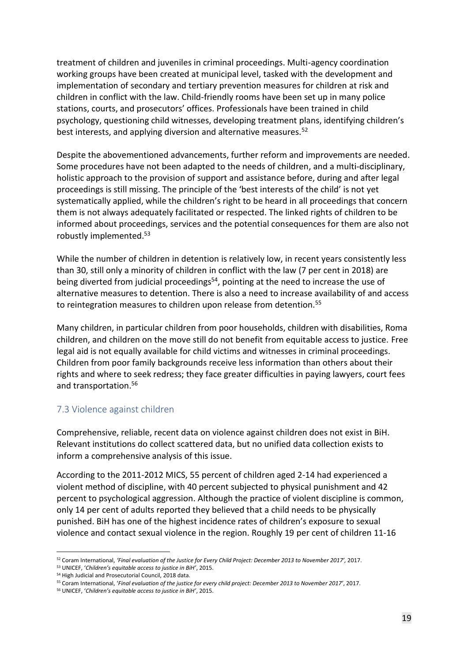treatment of children and juveniles in criminal proceedings. Multi-agency coordination working groups have been created at municipal level, tasked with the development and implementation of secondary and tertiary prevention measures for children at risk and children in conflict with the law. Child-friendly rooms have been set up in many police stations, courts, and prosecutors' offices. Professionals have been trained in child psychology, questioning child witnesses, developing treatment plans, identifying children's best interests, and applying diversion and alternative measures.<sup>52</sup>

Despite the abovementioned advancements, further reform and improvements are needed. Some procedures have not been adapted to the needs of children, and a multi-disciplinary, holistic approach to the provision of support and assistance before, during and after legal proceedings is still missing. The principle of the 'best interests of the child' is not yet systematically applied, while the children's right to be heard in all proceedings that concern them is not always adequately facilitated or respected. The linked rights of children to be informed about proceedings, services and the potential consequences for them are also not robustly implemented.<sup>53</sup> 

While the number of children in detention is relatively low, in recent years consistently less than 30, still only a minority of children in conflict with the law (7 per cent in 2018) are being diverted from judicial proceedings<sup>54</sup>, pointing at the need to increase the use of alternative measures to detention. There is also a need to increase availability of and access to reintegration measures to children upon release from detention.<sup>55</sup>

Many children, in particular children from poor households, children with disabilities, Roma children, and children on the move still do not benefit from equitable access to justice. Free legal aid is not equally available for child victims and witnesses in criminal proceedings. Children from poor family backgrounds receive less information than others about their rights and where to seek redress; they face greater difficulties in paying lawyers, court fees and transportation.<sup>56</sup>

#### <span id="page-18-0"></span>7.3 Violence against children

Comprehensive, reliable, recent data on violence against children does not exist in BiH. Relevant institutions do collect scattered data, but no unified data collection exists to inform a comprehensive analysis of this issue.

According to the 2011-2012 MICS, 55 percent of children aged 2-14 had experienced a violent method of discipline, with 40 percent subjected to physical punishment and 42 percent to psychological aggression. Although the practice of violent discipline is common, only 14 per cent of adults reported they believed that a child needs to be physically punished. BiH has one of the highest incidence rates of children's exposure to sexual violence and contact sexual violence in the region. Roughly 19 per cent of children 11-16

<sup>52</sup> Coram International, *'Final evaluation of the Justice for Every Child Project: December 2013 to November 2017',* 2017.

<sup>53</sup> UNICEF, '*Children's equitable access to justice in BiH'*, 2015.

<sup>54</sup> High Judicial and Prosecutorial Council, 2018 data.

<sup>55</sup> Coram International, '*Final evaluation of the justice for every child project: December 2013 to November 2017'*, 2017.

<sup>56</sup> UNICEF, '*Children's equitable access to justice in BiH'*, 2015.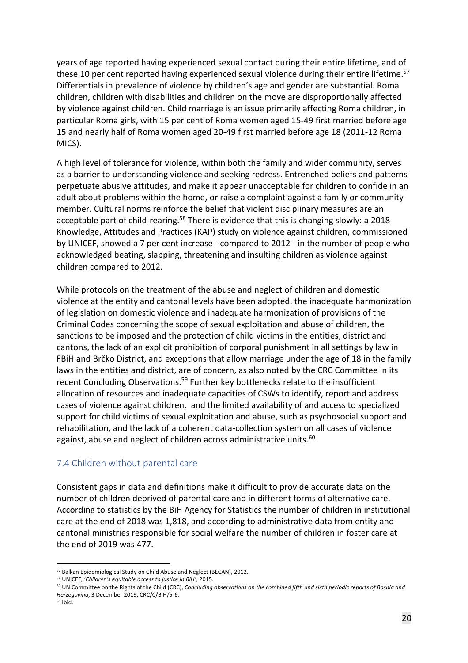years of age reported having experienced sexual contact during their entire lifetime, and of these 10 per cent reported having experienced sexual violence during their entire lifetime. 57 Differentials in prevalence of violence by children's age and gender are substantial. Roma children, children with disabilities and children on the move are disproportionally affected by violence against children. Child marriage is an issue primarily affecting Roma children, in particular Roma girls, with 15 per cent of Roma women aged 15-49 first married before age 15 and nearly half of Roma women aged 20-49 first married before age 18 (2011-12 Roma MICS).

A high level of tolerance for violence, within both the family and wider community, serves as a barrier to understanding violence and seeking redress. Entrenched beliefs and patterns perpetuate abusive attitudes, and make it appear unacceptable for children to confide in an adult about problems within the home, or raise a complaint against a family or community member. Cultural norms reinforce the belief that violent disciplinary measures are an acceptable part of child-rearing.<sup>58</sup> There is evidence that this is changing slowly: a 2018 Knowledge, Attitudes and Practices (KAP) study on violence against children, commissioned by UNICEF, showed a 7 per cent increase - compared to 2012 - in the number of people who acknowledged beating, slapping, threatening and insulting children as violence against children compared to 2012.

While protocols on the treatment of the abuse and neglect of children and domestic violence at the entity and cantonal levels have been adopted, the inadequate harmonization of legislation on domestic violence and inadequate harmonization of provisions of the Criminal Codes concerning the scope of sexual exploitation and abuse of children, the sanctions to be imposed and the protection of child victims in the entities, district and cantons, the lack of an explicit prohibition of corporal punishment in all settings by law in FBiH and Brčko District, and exceptions that allow marriage under the age of 18 in the family laws in the entities and district, are of concern, as also noted by the CRC Committee in its recent Concluding Observations.<sup>59</sup> Further key bottlenecks relate to the insufficient allocation of resources and inadequate capacities of CSWs to identify, report and address cases of violence against children, and the limited availability of and access to specialized support for child victims of sexual exploitation and abuse, such as psychosocial support and rehabilitation, and the lack of a coherent data-collection system on all cases of violence against, abuse and neglect of children across administrative units.<sup>60</sup>

#### <span id="page-19-0"></span>7.4 Children without parental care

Consistent gaps in data and definitions make it difficult to provide accurate data on the number of children deprived of parental care and in different forms of alternative care. According to statistics by the BiH Agency for Statistics the number of children in institutional care at the end of 2018 was 1,818, and according to administrative data from entity and cantonal ministries responsible for social welfare the number of children in foster care at the end of 2019 was 477.

<sup>57</sup> Balkan Epidemiological Study on Child Abuse and Neglect (BECAN), 2012.

<sup>58</sup> UNICEF, '*Children's equitable access to justice in BiH'*, 2015.

<sup>59</sup> UN Committee on the Rights of the Child (CRC), *Concluding observations on the combined fifth and sixth periodic reports of Bosnia and Herzegovina*, 3 December 2019, CRC/C/BIH/5-6.

 $60$  Ibid.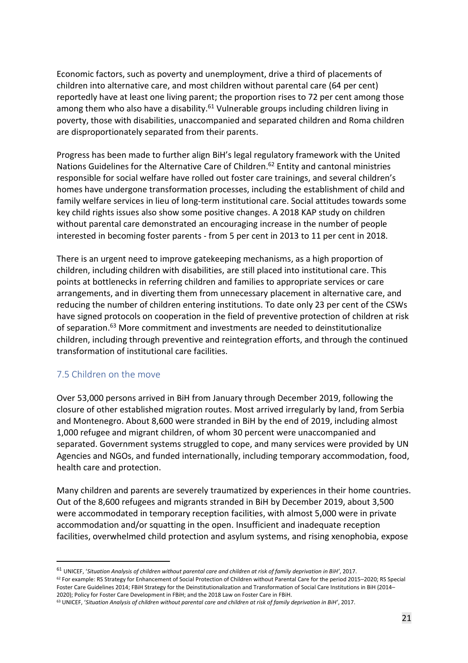Economic factors, such as poverty and unemployment, drive a third of placements of children into alternative care, and most children without parental care (64 per cent) reportedly have at least one living parent; the proportion rises to 72 per cent among those among them who also have a disability.<sup>61</sup> Vulnerable groups including children living in poverty, those with disabilities, unaccompanied and separated children and Roma children are disproportionately separated from their parents.

Progress has been made to further align BiH's legal regulatory framework with the United Nations Guidelines for the Alternative Care of Children. <sup>62</sup> Entity and cantonal ministries responsible for social welfare have rolled out foster care trainings, and several children's homes have undergone transformation processes, including the establishment of child and family welfare services in lieu of long-term institutional care. Social attitudes towards some key child rights issues also show some positive changes. A 2018 KAP study on children without parental care demonstrated an encouraging increase in the number of people interested in becoming foster parents - from 5 per cent in 2013 to 11 per cent in 2018.

There is an urgent need to improve gatekeeping mechanisms, as a high proportion of children, including children with disabilities, are still placed into institutional care. This points at bottlenecks in referring children and families to appropriate services or care arrangements, and in diverting them from unnecessary placement in alternative care, and reducing the number of children entering institutions. To date only 23 per cent of the CSWs have signed protocols on cooperation in the field of preventive protection of children at risk of separation.<sup>63</sup> More commitment and investments are needed to deinstitutionalize children, including through preventive and reintegration efforts, and through the continued transformation of institutional care facilities.

#### <span id="page-20-0"></span>7.5 Children on the move

Over 53,000 persons arrived in BiH from January through December 2019, following the closure of other established migration routes. Most arrived irregularly by land, from Serbia and Montenegro. About 8,600 were stranded in BiH by the end of 2019, including almost 1,000 refugee and migrant children, of whom 30 percent were unaccompanied and separated. Government systems struggled to cope, and many services were provided by UN Agencies and NGOs, and funded internationally, including temporary accommodation, food, health care and protection.

Many children and parents are severely traumatized by experiences in their home countries. Out of the 8,600 refugees and migrants stranded in BiH by December 2019, about 3,500 were accommodated in temporary reception facilities, with almost 5,000 were in private accommodation and/or squatting in the open. Insufficient and inadequate reception facilities, overwhelmed child protection and asylum systems, and rising xenophobia, expose

 $62$  For example: RS Strategy for Enhancement of Social Protection of Children without Parental Care for the period 2015–2020; RS Special Foster Care Guidelines 2014; FBiH Strategy for the Deinstitutionalization and Transformation of Social Care Institutions in BiH (2014– 2020); Policy for Foster Care Development in FBiH; and the 2018 Law on Foster Care in FBiH.

<sup>61</sup> UNICEF, '*Situation Analysis of children without parental care and children at risk of family deprivation in BiH'*, 2017.

<sup>63</sup> UNICEF, '*Situation Analysis of children without parental care and children at risk of family deprivation in BiH'*, 2017.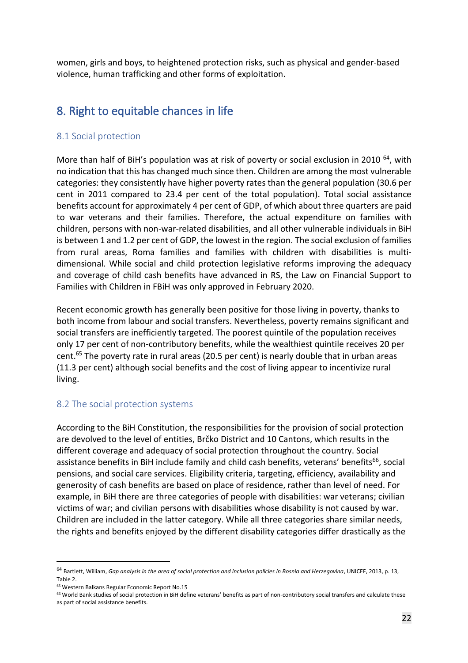women, girls and boys, to heightened protection risks, such as physical and gender-based violence, human trafficking and other forms of exploitation.

# <span id="page-21-0"></span>8. Right to equitable chances in life

#### <span id="page-21-1"></span>8.1 Social protection

More than half of BiH's population was at risk of poverty or social exclusion in 2010<sup>64</sup>, with no indication that this has changed much since then. Children are among the most vulnerable categories: they consistently have higher poverty rates than the general population (30.6 per cent in 2011 compared to 23.4 per cent of the total population). Total social assistance benefits account for approximately 4 per cent of GDP, of which about three quarters are paid to war veterans and their families. Therefore, the actual expenditure on families with children, persons with non-war-related disabilities, and all other vulnerable individuals in BiH is between 1 and 1.2 per cent of GDP, the lowest in the region. The social exclusion of families from rural areas, Roma families and families with children with disabilities is multidimensional. While social and child protection legislative reforms improving the adequacy and coverage of child cash benefits have advanced in RS, the Law on Financial Support to Families with Children in FBiH was only approved in February 2020.

Recent economic growth has generally been positive for those living in poverty, thanks to both income from labour and social transfers. Nevertheless, poverty remains significant and social transfers are inefficiently targeted. The poorest quintile of the population receives only 17 per cent of non-contributory benefits, while the wealthiest quintile receives 20 per cent. <sup>65</sup> The poverty rate in rural areas (20.5 per cent) is nearly double that in urban areas (11.3 per cent) although social benefits and the cost of living appear to incentivize rural living.

## <span id="page-21-2"></span>8.2 The social protection systems

According to the BiH Constitution, the responsibilities for the provision of social protection are devolved to the level of entities, Brčko District and 10 Cantons, which results in the different coverage and adequacy of social protection throughout the country. Social assistance benefits in BiH include family and child cash benefits, veterans' benefits<sup>66</sup>, social pensions, and social care services. Eligibility criteria, targeting, efficiency, availability and generosity of cash benefits are based on place of residence, rather than level of need. For example, in BiH there are three categories of people with disabilities: war veterans; civilian victims of war; and civilian persons with disabilities whose disability is not caused by war. Children are included in the latter category. While all three categories share similar needs, the rights and benefits enjoyed by the different disability categories differ drastically as the

<sup>&</sup>lt;sup>64</sup> Bartlett, William, *Gap analysis in the area of social protection and inclusion policies in Bosnia and Herzegovina, UNICEF, 2013, p. 13,* Table 2.

<sup>65</sup> Western Balkans Regular Economic Report No.15

<sup>&</sup>lt;sup>66</sup> World Bank studies of social protection in BiH define veterans' benefits as part of non-contributory social transfers and calculate these

as part of social assistance benefits.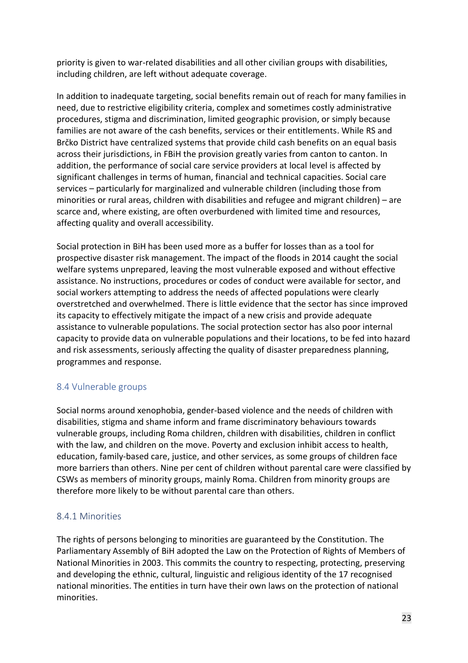priority is given to war-related disabilities and all other civilian groups with disabilities, including children, are left without adequate coverage.

In addition to inadequate targeting, social benefits remain out of reach for many families in need, due to restrictive eligibility criteria, complex and sometimes costly administrative procedures, stigma and discrimination, limited geographic provision, or simply because families are not aware of the cash benefits, services or their entitlements. While RS and Brčko District have centralized systems that provide child cash benefits on an equal basis across their jurisdictions, in FBiH the provision greatly varies from canton to canton. In addition, the performance of social care service providers at local level is affected by significant challenges in terms of human, financial and technical capacities. Social care services – particularly for marginalized and vulnerable children (including those from minorities or rural areas, children with disabilities and refugee and migrant children) – are scarce and, where existing, are often overburdened with limited time and resources, affecting quality and overall accessibility.

Social protection in BiH has been used more as a buffer for losses than as a tool for prospective disaster risk management. The impact of the floods in 2014 caught the social welfare systems unprepared, leaving the most vulnerable exposed and without effective assistance. No instructions, procedures or codes of conduct were available for sector, and social workers attempting to address the needs of affected populations were clearly overstretched and overwhelmed. There is little evidence that the sector has since improved its capacity to effectively mitigate the impact of a new crisis and provide adequate assistance to vulnerable populations. The social protection sector has also poor internal capacity to provide data on vulnerable populations and their locations, to be fed into hazard and risk assessments, seriously affecting the quality of disaster preparedness planning, programmes and response.

## <span id="page-22-0"></span>8.4 Vulnerable groups

Social norms around xenophobia, gender-based violence and the needs of children with disabilities, stigma and shame inform and frame discriminatory behaviours towards vulnerable groups, including Roma children, children with disabilities, children in conflict with the law, and children on the move. Poverty and exclusion inhibit access to health, education, family-based care, justice, and other services, as some groups of children face more barriers than others. Nine per cent of children without parental care were classified by CSWs as members of minority groups, mainly Roma. Children from minority groups are therefore more likely to be without parental care than others.

## <span id="page-22-1"></span>8.4.1 Minorities

The rights of persons belonging to minorities are guaranteed by the Constitution. The Parliamentary Assembly of BiH adopted the Law on the Protection of Rights of Members of National Minorities in 2003. This commits the country to respecting, protecting, preserving and developing the ethnic, cultural, linguistic and religious identity of the 17 recognised national minorities. The entities in turn have their own laws on the protection of national minorities.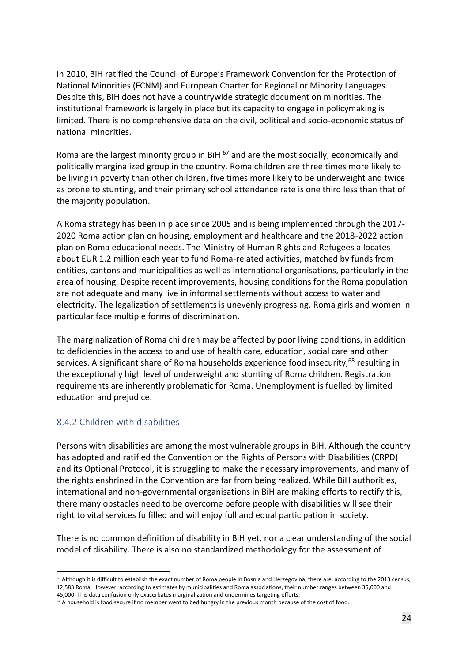In 2010, BiH ratified the Council of Europe's Framework Convention for the Protection of National Minorities (FCNM) and European Charter for Regional or Minority Languages. Despite this, BiH does not have a countrywide strategic document on minorities. The institutional framework is largely in place but its capacity to engage in policymaking is limited. There is no comprehensive data on the civil, political and socio-economic status of national minorities.

Roma are the largest minority group in BiH  $^{67}$  and are the most socially, economically and politically marginalized group in the country. Roma children are three times more likely to be living in poverty than other children, five times more likely to be underweight and twice as prone to stunting, and their primary school attendance rate is one third less than that of the majority population.

A Roma strategy has been in place since 2005 and is being implemented through the 2017- 2020 Roma action plan on housing, employment and healthcare and the 2018-2022 action plan on Roma educational needs. The Ministry of Human Rights and Refugees allocates about EUR 1.2 million each year to fund Roma-related activities, matched by funds from entities, cantons and municipalities as well as international organisations, particularly in the area of housing. Despite recent improvements, housing conditions for the Roma population are not adequate and many live in informal settlements without access to water and electricity. The legalization of settlements is unevenly progressing. Roma girls and women in particular face multiple forms of discrimination.

The marginalization of Roma children may be affected by poor living conditions, in addition to deficiencies in the access to and use of health care, education, social care and other services. A significant share of Roma households experience food insecurity,<sup>68</sup> resulting in the exceptionally high level of underweight and stunting of Roma children. Registration requirements are inherently problematic for Roma. Unemployment is fuelled by limited education and prejudice.

#### <span id="page-23-0"></span>8.4.2 Children with disabilities

Persons with disabilities are among the most vulnerable groups in BiH. Although the country has adopted and ratified the Convention on the Rights of Persons with Disabilities (CRPD) and its Optional Protocol, it is struggling to make the necessary improvements, and many of the rights enshrined in the Convention are far from being realized. While BiH authorities, international and non-governmental organisations in BiH are making efforts to rectify this, there many obstacles need to be overcome before people with disabilities will see their right to vital services fulfilled and will enjoy full and equal participation in society.

There is no common definition of disability in BiH yet, nor a clear understanding of the social model of disability. There is also no standardized methodology for the assessment of

<sup>&</sup>lt;sup>67</sup> Although it is difficult to establish the exact number of Roma people in Bosnia and Herzegovina, there are, according to the 2013 census, 12,583 Roma. However, according to estimates by municipalities and Roma associations, their number ranges between 35,000 and 45,000. This data confusion only exacerbates marginalization and undermines targeting efforts.

<sup>&</sup>lt;sup>68</sup> A household is food secure if no member went to bed hungry in the previous month because of the cost of food.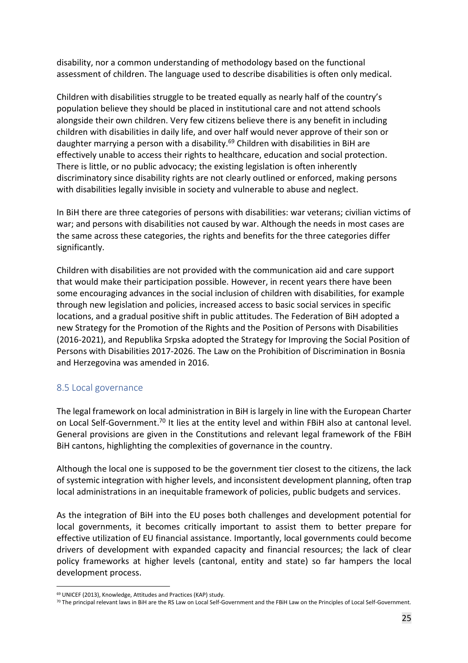disability, nor a common understanding of methodology based on the functional assessment of children. The language used to describe disabilities is often only medical.

Children with disabilities struggle to be treated equally as nearly half of the country's population believe they should be placed in institutional care and not attend schools alongside their own children. Very few citizens believe there is any benefit in including children with disabilities in daily life, and over half would never approve of their son or daughter marrying a person with a disability.<sup>69</sup> Children with disabilities in BiH are effectively unable to access their rights to healthcare, education and social protection. There is little, or no public advocacy; the existing legislation is often inherently discriminatory since disability rights are not clearly outlined or enforced, making persons with disabilities legally invisible in society and vulnerable to abuse and neglect.

In BiH there are three categories of persons with disabilities: war veterans; civilian victims of war; and persons with disabilities not caused by war. Although the needs in most cases are the same across these categories, the rights and benefits for the three categories differ significantly.

Children with disabilities are not provided with the communication aid and care support that would make their participation possible. However, in recent years there have been some encouraging advances in the social inclusion of children with disabilities, for example through new legislation and policies, increased access to basic social services in specific locations, and a gradual positive shift in public attitudes. The Federation of BiH adopted a new Strategy for the Promotion of the Rights and the Position of Persons with Disabilities (2016-2021), and Republika Srpska adopted the Strategy for Improving the Social Position of Persons with Disabilities 2017-2026. The Law on the Prohibition of Discrimination in Bosnia and Herzegovina was amended in 2016.

#### <span id="page-24-0"></span>8.5 Local governance

The legal framework on local administration in BiH is largely in line with the European Charter on Local Self-Government.<sup>70</sup> It lies at the entity level and within FBiH also at cantonal level. General provisions are given in the Constitutions and relevant legal framework of the FBiH BiH cantons, highlighting the complexities of governance in the country.

Although the local one is supposed to be the government tier closest to the citizens, the lack of systemic integration with higher levels, and inconsistent development planning, often trap local administrations in an inequitable framework of policies, public budgets and services.

As the integration of BiH into the EU poses both challenges and development potential for local governments, it becomes critically important to assist them to better prepare for effective utilization of EU financial assistance. Importantly, local governments could become drivers of development with expanded capacity and financial resources; the lack of clear policy frameworks at higher levels (cantonal, entity and state) so far hampers the local development process.

<sup>69</sup> UNICEF (2013), Knowledge, Attitudes and Practices (KAP) study.

 $70$  The principal relevant laws in BiH are the RS Law on Local Self-Government and the FBiH Law on the Principles of Local Self-Government.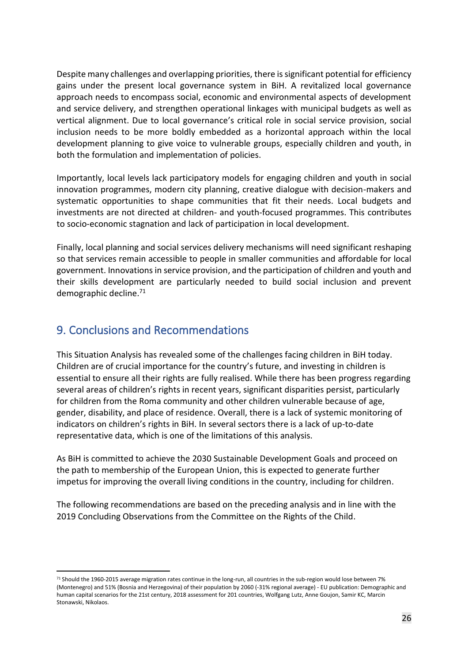Despite many challenges and overlapping priorities, there is significant potential for efficiency gains under the present local governance system in BiH. A revitalized local governance approach needs to encompass social, economic and environmental aspects of development and service delivery, and strengthen operational linkages with municipal budgets as well as vertical alignment. Due to local governance's critical role in social service provision, social inclusion needs to be more boldly embedded as a horizontal approach within the local development planning to give voice to vulnerable groups, especially children and youth, in both the formulation and implementation of policies.

Importantly, local levels lack participatory models for engaging children and youth in social innovation programmes, modern city planning, creative dialogue with decision-makers and systematic opportunities to shape communities that fit their needs. Local budgets and investments are not directed at children- and youth-focused programmes. This contributes to socio-economic stagnation and lack of participation in local development.

Finally, local planning and social services delivery mechanisms will need significant reshaping so that services remain accessible to people in smaller communities and affordable for local government. Innovations in service provision, and the participation of children and youth and their skills development are particularly needed to build social inclusion and prevent demographic decline.<sup>71</sup>

# <span id="page-25-0"></span>9. Conclusions and Recommendations

This Situation Analysis has revealed some of the challenges facing children in BiH today. Children are of crucial importance for the country's future, and investing in children is essential to ensure all their rights are fully realised. While there has been progress regarding several areas of children's rights in recent years, significant disparities persist, particularly for children from the Roma community and other children vulnerable because of age, gender, disability, and place of residence. Overall, there is a lack of systemic monitoring of indicators on children's rights in BiH. In several sectors there is a lack of up-to-date representative data, which is one of the limitations of this analysis.

As BiH is committed to achieve the 2030 Sustainable Development Goals and proceed on the path to membership of the European Union, this is expected to generate further impetus for improving the overall living conditions in the country, including for children.

The following recommendations are based on the preceding analysis and in line with the 2019 Concluding Observations from the Committee on the Rights of the Child.

 $71$  Should the 1960-2015 average migration rates continue in the long-run, all countries in the sub-region would lose between 7% (Montenegro) and 51% (Bosnia and Herzegovina) of their population by 2060 (-31% regional average) - EU publication: Demographic and human capital scenarios for the 21st century, 2018 assessment for 201 countries, Wolfgang Lutz, Anne Goujon, Samir KC, Marcin Stonawski, Nikolaos.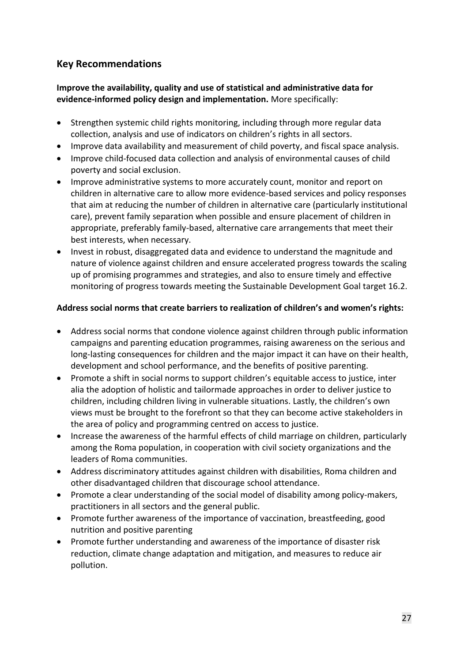# **Key Recommendations**

**Improve the availability, quality and use of statistical and administrative data for evidence-informed policy design and implementation.** More specifically:

- Strengthen systemic child rights monitoring, including through more regular data collection, analysis and use of indicators on children's rights in all sectors.
- Improve data availability and measurement of child poverty, and fiscal space analysis.
- Improve child-focused data collection and analysis of environmental causes of child poverty and social exclusion.
- Improve administrative systems to more accurately count, monitor and report on children in alternative care to allow more evidence-based services and policy responses that aim at reducing the number of children in alternative care (particularly institutional care), prevent family separation when possible and ensure placement of children in appropriate, preferably family-based, alternative care arrangements that meet their best interests, when necessary.
- Invest in robust, disaggregated data and evidence to understand the magnitude and nature of violence against children and ensure accelerated progress towards the scaling up of promising programmes and strategies, and also to ensure timely and effective monitoring of progress towards meeting the Sustainable Development Goal target 16.2.

#### **Address social norms that create barriers to realization of children's and women's rights:**

- Address social norms that condone violence against children through public information campaigns and parenting education programmes, raising awareness on the serious and long-lasting consequences for children and the major impact it can have on their health, development and school performance, and the benefits of positive parenting.
- Promote a shift in social norms to support children's equitable access to justice, inter alia the adoption of holistic and tailormade approaches in order to deliver justice to children, including children living in vulnerable situations. Lastly, the children's own views must be brought to the forefront so that they can become active stakeholders in the area of policy and programming centred on access to justice.
- Increase the awareness of the harmful effects of child marriage on children, particularly among the Roma population, in cooperation with civil society organizations and the leaders of Roma communities.
- Address discriminatory attitudes against children with disabilities, Roma children and other disadvantaged children that discourage school attendance.
- Promote a clear understanding of the social model of disability among policy-makers, practitioners in all sectors and the general public.
- Promote further awareness of the importance of vaccination, breastfeeding, good nutrition and positive parenting
- Promote further understanding and awareness of the importance of disaster risk reduction, climate change adaptation and mitigation, and measures to reduce air pollution.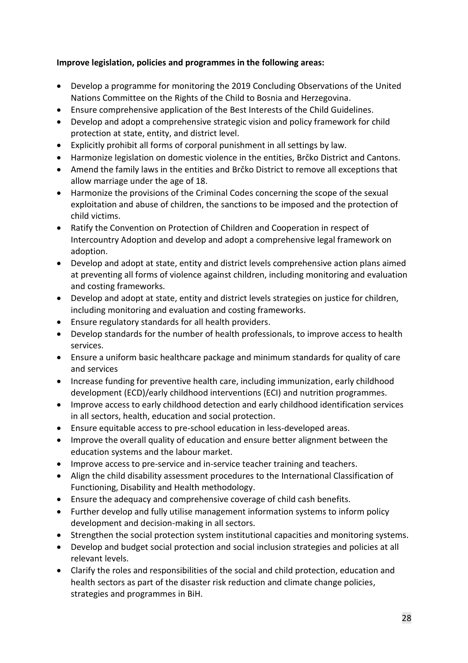### **Improve legislation, policies and programmes in the following areas:**

- Develop a programme for monitoring the 2019 Concluding Observations of the United Nations Committee on the Rights of the Child to Bosnia and Herzegovina.
- Ensure comprehensive application of the Best Interests of the Child Guidelines.
- Develop and adopt a comprehensive strategic vision and policy framework for child protection at state, entity, and district level.
- Explicitly prohibit all forms of corporal punishment in all settings by law.
- Harmonize legislation on domestic violence in the entities, Brčko District and Cantons.
- Amend the family laws in the entities and Brčko District to remove all exceptions that allow marriage under the age of 18.
- Harmonize the provisions of the Criminal Codes concerning the scope of the sexual exploitation and abuse of children, the sanctions to be imposed and the protection of child victims.
- Ratify the Convention on Protection of Children and Cooperation in respect of Intercountry Adoption and develop and adopt a comprehensive legal framework on adoption.
- Develop and adopt at state, entity and district levels comprehensive action plans aimed at preventing all forms of violence against children, including monitoring and evaluation and costing frameworks.
- Develop and adopt at state, entity and district levels strategies on justice for children, including monitoring and evaluation and costing frameworks.
- Ensure regulatory standards for all health providers.
- Develop standards for the number of health professionals, to improve access to health services.
- Ensure a uniform basic healthcare package and minimum standards for quality of care and services
- Increase funding for preventive health care, including immunization, early childhood development (ECD)/early childhood interventions (ECI) and nutrition programmes.
- Improve access to early childhood detection and early childhood identification services in all sectors, health, education and social protection.
- Ensure equitable access to pre-school education in less-developed areas.
- Improve the overall quality of education and ensure better alignment between the education systems and the labour market.
- Improve access to pre-service and in-service teacher training and teachers.
- Align the child disability assessment procedures to the International Classification of Functioning, Disability and Health methodology.
- Ensure the adequacy and comprehensive coverage of child cash benefits.
- Further develop and fully utilise management information systems to inform policy development and decision-making in all sectors.
- Strengthen the social protection system institutional capacities and monitoring systems.
- Develop and budget social protection and social inclusion strategies and policies at all relevant levels.
- Clarify the roles and responsibilities of the social and child protection, education and health sectors as part of the disaster risk reduction and climate change policies, strategies and programmes in BiH.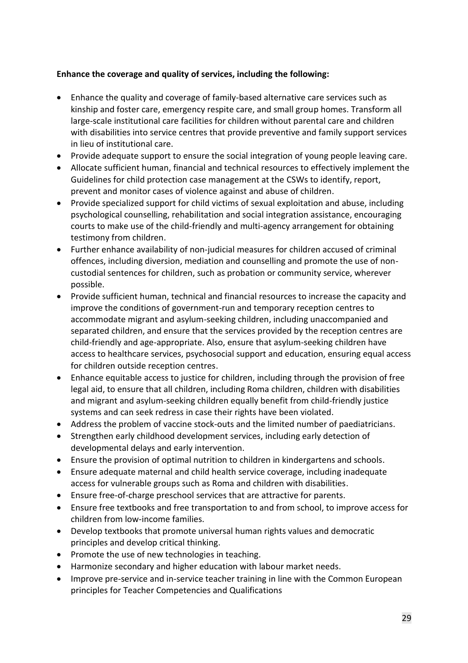### **Enhance the coverage and quality of services, including the following:**

- Enhance the quality and coverage of family-based alternative care services such as kinship and foster care, emergency respite care, and small group homes. Transform all large-scale institutional care facilities for children without parental care and children with disabilities into service centres that provide preventive and family support services in lieu of institutional care.
- Provide adequate support to ensure the social integration of young people leaving care.
- Allocate sufficient human, financial and technical resources to effectively implement the Guidelines for child protection case management at the CSWs to identify, report, prevent and monitor cases of violence against and abuse of children.
- Provide specialized support for child victims of sexual exploitation and abuse, including psychological counselling, rehabilitation and social integration assistance, encouraging courts to make use of the child-friendly and multi-agency arrangement for obtaining testimony from children.
- Further enhance availability of non-judicial measures for children accused of criminal offences, including diversion, mediation and counselling and promote the use of noncustodial sentences for children, such as probation or community service, wherever possible.
- Provide sufficient human, technical and financial resources to increase the capacity and improve the conditions of government-run and temporary reception centres to accommodate migrant and asylum-seeking children, including unaccompanied and separated children, and ensure that the services provided by the reception centres are child-friendly and age-appropriate. Also, ensure that asylum-seeking children have access to healthcare services, psychosocial support and education, ensuring equal access for children outside reception centres.
- Enhance equitable access to justice for children, including through the provision of free legal aid, to ensure that all children, including Roma children, children with disabilities and migrant and asylum-seeking children equally benefit from child-friendly justice systems and can seek redress in case their rights have been violated.
- Address the problem of vaccine stock-outs and the limited number of paediatricians.
- Strengthen early childhood development services, including early detection of developmental delays and early intervention.
- Ensure the provision of optimal nutrition to children in kindergartens and schools.
- Ensure adequate maternal and child health service coverage, including inadequate access for vulnerable groups such as Roma and children with disabilities.
- Ensure free-of-charge preschool services that are attractive for parents.
- Ensure free textbooks and free transportation to and from school, to improve access for children from low-income families.
- Develop textbooks that promote universal human rights values and democratic principles and develop critical thinking.
- Promote the use of new technologies in teaching.
- Harmonize secondary and higher education with labour market needs.
- Improve pre-service and in-service teacher training in line with the Common European principles for Teacher Competencies and Qualifications